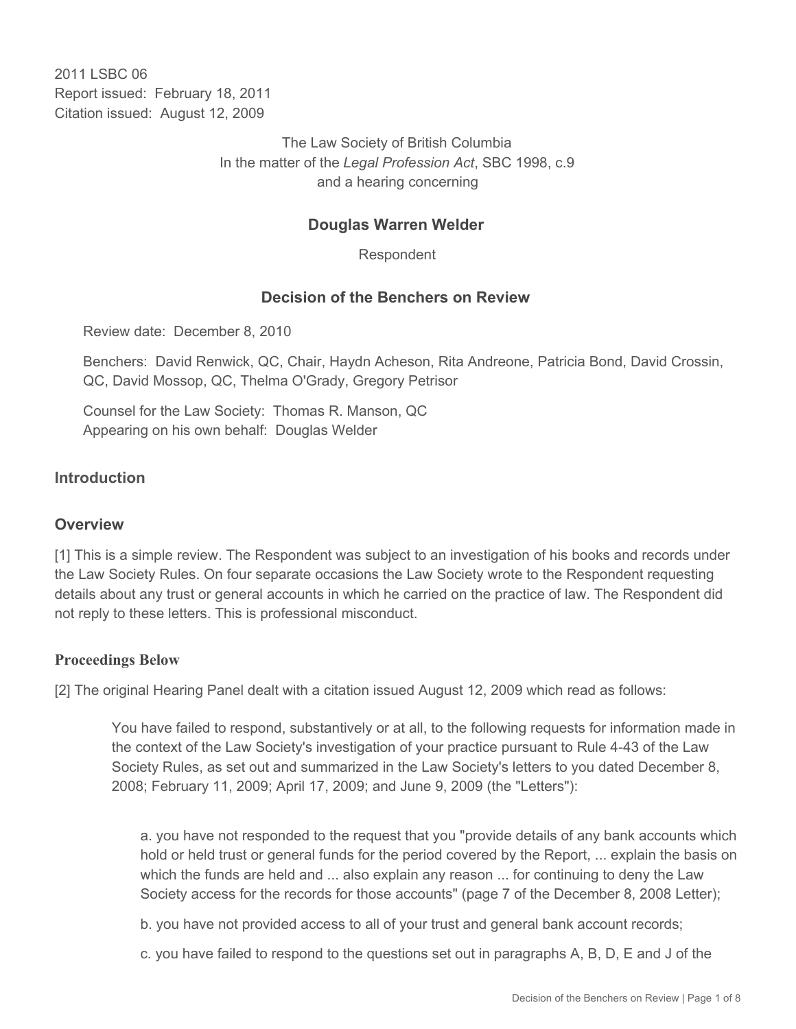2011 LSBC 06 Report issued: February 18, 2011 Citation issued: August 12, 2009

> The Law Society of British Columbia In the matter of the *Legal Profession Act*, SBC 1998, c.9 and a hearing concerning

# **Douglas Warren Welder**

Respondent

# **Decision of the Benchers on Review**

Review date: December 8, 2010

Benchers: David Renwick, QC, Chair, Haydn Acheson, Rita Andreone, Patricia Bond, David Crossin, QC, David Mossop, QC, Thelma O'Grady, Gregory Petrisor

Counsel for the Law Society: Thomas R. Manson, QC Appearing on his own behalf: Douglas Welder

## **Introduction**

## **Overview**

[1] This is a simple review. The Respondent was subject to an investigation of his books and records under the Law Society Rules. On four separate occasions the Law Society wrote to the Respondent requesting details about any trust or general accounts in which he carried on the practice of law. The Respondent did not reply to these letters. This is professional misconduct.

## **Proceedings Below**

[2] The original Hearing Panel dealt with a citation issued August 12, 2009 which read as follows:

You have failed to respond, substantively or at all, to the following requests for information made in the context of the Law Society's investigation of your practice pursuant to Rule 4-43 of the Law Society Rules, as set out and summarized in the Law Society's letters to you dated December 8, 2008; February 11, 2009; April 17, 2009; and June 9, 2009 (the "Letters"):

a. you have not responded to the request that you "provide details of any bank accounts which hold or held trust or general funds for the period covered by the Report, ... explain the basis on which the funds are held and ... also explain any reason ... for continuing to deny the Law Society access for the records for those accounts" (page 7 of the December 8, 2008 Letter);

b. you have not provided access to all of your trust and general bank account records;

c. you have failed to respond to the questions set out in paragraphs A, B, D, E and J of the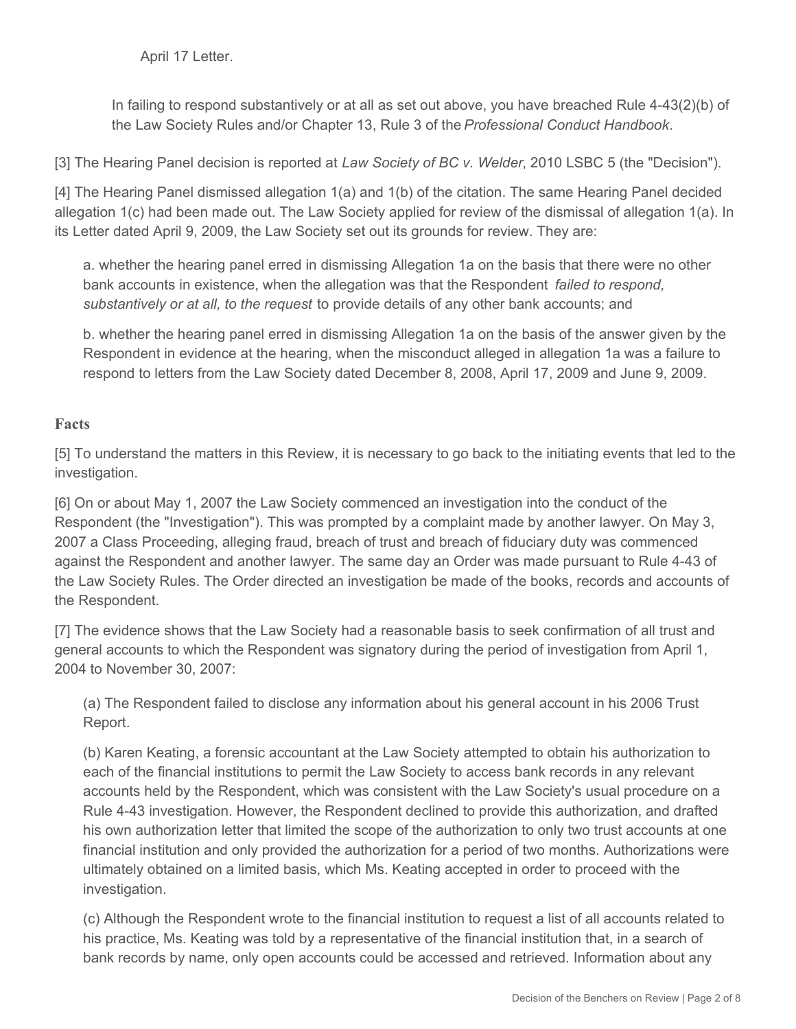April 17 Letter.

In failing to respond substantively or at all as set out above, you have breached Rule 4-43(2)(b) of the Law Society Rules and/or Chapter 13, Rule 3 of the *Professional Conduct Handbook*.

[3] The Hearing Panel decision is reported at *Law Society of BC v. Welder*, 2010 LSBC 5 (the "Decision").

[4] The Hearing Panel dismissed allegation 1(a) and 1(b) of the citation. The same Hearing Panel decided allegation 1(c) had been made out. The Law Society applied for review of the dismissal of allegation 1(a). In its Letter dated April 9, 2009, the Law Society set out its grounds for review. They are:

a. whether the hearing panel erred in dismissing Allegation 1a on the basis that there were no other bank accounts in existence, when the allegation was that the Respondent *failed to respond, substantively or at all, to the request* to provide details of any other bank accounts; and

b. whether the hearing panel erred in dismissing Allegation 1a on the basis of the answer given by the Respondent in evidence at the hearing, when the misconduct alleged in allegation 1a was a failure to respond to letters from the Law Society dated December 8, 2008, April 17, 2009 and June 9, 2009.

### **Facts**

[5] To understand the matters in this Review, it is necessary to go back to the initiating events that led to the investigation.

[6] On or about May 1, 2007 the Law Society commenced an investigation into the conduct of the Respondent (the "Investigation"). This was prompted by a complaint made by another lawyer. On May 3, 2007 a Class Proceeding, alleging fraud, breach of trust and breach of fiduciary duty was commenced against the Respondent and another lawyer. The same day an Order was made pursuant to Rule 4-43 of the Law Society Rules. The Order directed an investigation be made of the books, records and accounts of the Respondent.

[7] The evidence shows that the Law Society had a reasonable basis to seek confirmation of all trust and general accounts to which the Respondent was signatory during the period of investigation from April 1, 2004 to November 30, 2007:

(a) The Respondent failed to disclose any information about his general account in his 2006 Trust Report.

(b) Karen Keating, a forensic accountant at the Law Society attempted to obtain his authorization to each of the financial institutions to permit the Law Society to access bank records in any relevant accounts held by the Respondent, which was consistent with the Law Society's usual procedure on a Rule 4-43 investigation. However, the Respondent declined to provide this authorization, and drafted his own authorization letter that limited the scope of the authorization to only two trust accounts at one financial institution and only provided the authorization for a period of two months. Authorizations were ultimately obtained on a limited basis, which Ms. Keating accepted in order to proceed with the investigation.

(c) Although the Respondent wrote to the financial institution to request a list of all accounts related to his practice, Ms. Keating was told by a representative of the financial institution that, in a search of bank records by name, only open accounts could be accessed and retrieved. Information about any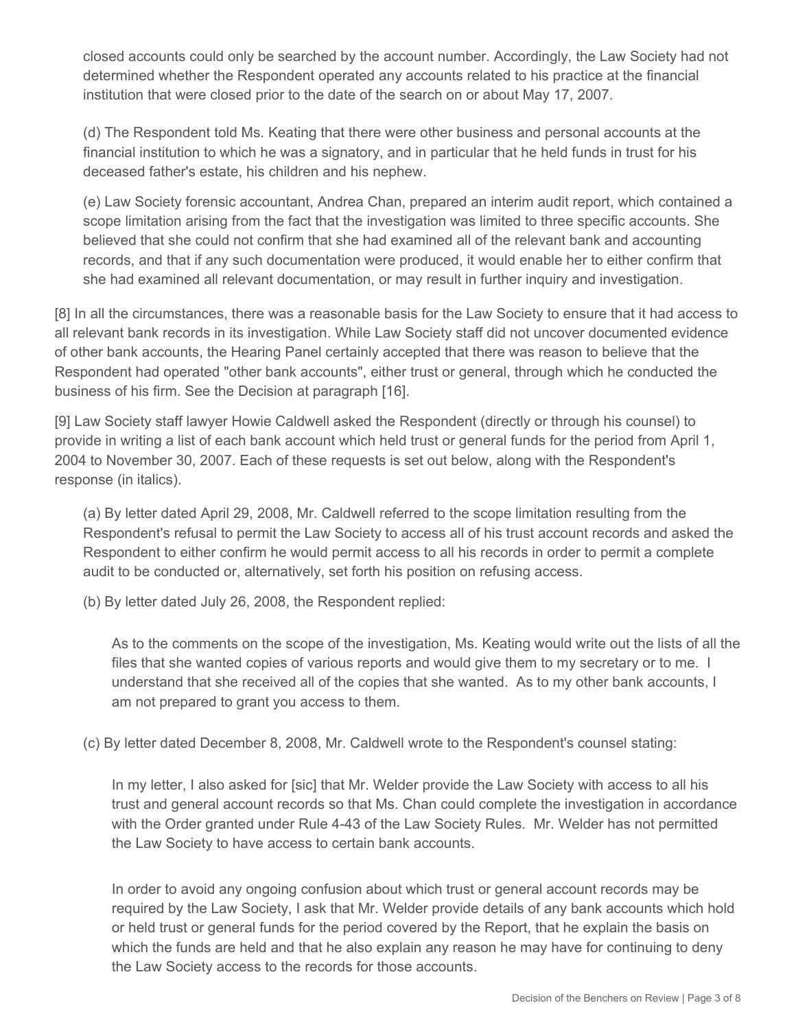closed accounts could only be searched by the account number. Accordingly, the Law Society had not determined whether the Respondent operated any accounts related to his practice at the financial institution that were closed prior to the date of the search on or about May 17, 2007.

(d) The Respondent told Ms. Keating that there were other business and personal accounts at the financial institution to which he was a signatory, and in particular that he held funds in trust for his deceased father's estate, his children and his nephew.

(e) Law Society forensic accountant, Andrea Chan, prepared an interim audit report, which contained a scope limitation arising from the fact that the investigation was limited to three specific accounts. She believed that she could not confirm that she had examined all of the relevant bank and accounting records, and that if any such documentation were produced, it would enable her to either confirm that she had examined all relevant documentation, or may result in further inquiry and investigation.

[8] In all the circumstances, there was a reasonable basis for the Law Society to ensure that it had access to all relevant bank records in its investigation. While Law Society staff did not uncover documented evidence of other bank accounts, the Hearing Panel certainly accepted that there was reason to believe that the Respondent had operated "other bank accounts", either trust or general, through which he conducted the business of his firm. See the Decision at paragraph [16].

[9] Law Society staff lawyer Howie Caldwell asked the Respondent (directly or through his counsel) to provide in writing a list of each bank account which held trust or general funds for the period from April 1, 2004 to November 30, 2007. Each of these requests is set out below, along with the Respondent's response (in italics).

(a) By letter dated April 29, 2008, Mr. Caldwell referred to the scope limitation resulting from the Respondent's refusal to permit the Law Society to access all of his trust account records and asked the Respondent to either confirm he would permit access to all his records in order to permit a complete audit to be conducted or, alternatively, set forth his position on refusing access.

(b) By letter dated July 26, 2008, the Respondent replied:

As to the comments on the scope of the investigation, Ms. Keating would write out the lists of all the files that she wanted copies of various reports and would give them to my secretary or to me. I understand that she received all of the copies that she wanted. As to my other bank accounts, I am not prepared to grant you access to them.

(c) By letter dated December 8, 2008, Mr. Caldwell wrote to the Respondent's counsel stating:

In my letter, I also asked for [sic] that Mr. Welder provide the Law Society with access to all his trust and general account records so that Ms. Chan could complete the investigation in accordance with the Order granted under Rule 4-43 of the Law Society Rules. Mr. Welder has not permitted the Law Society to have access to certain bank accounts.

In order to avoid any ongoing confusion about which trust or general account records may be required by the Law Society, I ask that Mr. Welder provide details of any bank accounts which hold or held trust or general funds for the period covered by the Report, that he explain the basis on which the funds are held and that he also explain any reason he may have for continuing to deny the Law Society access to the records for those accounts.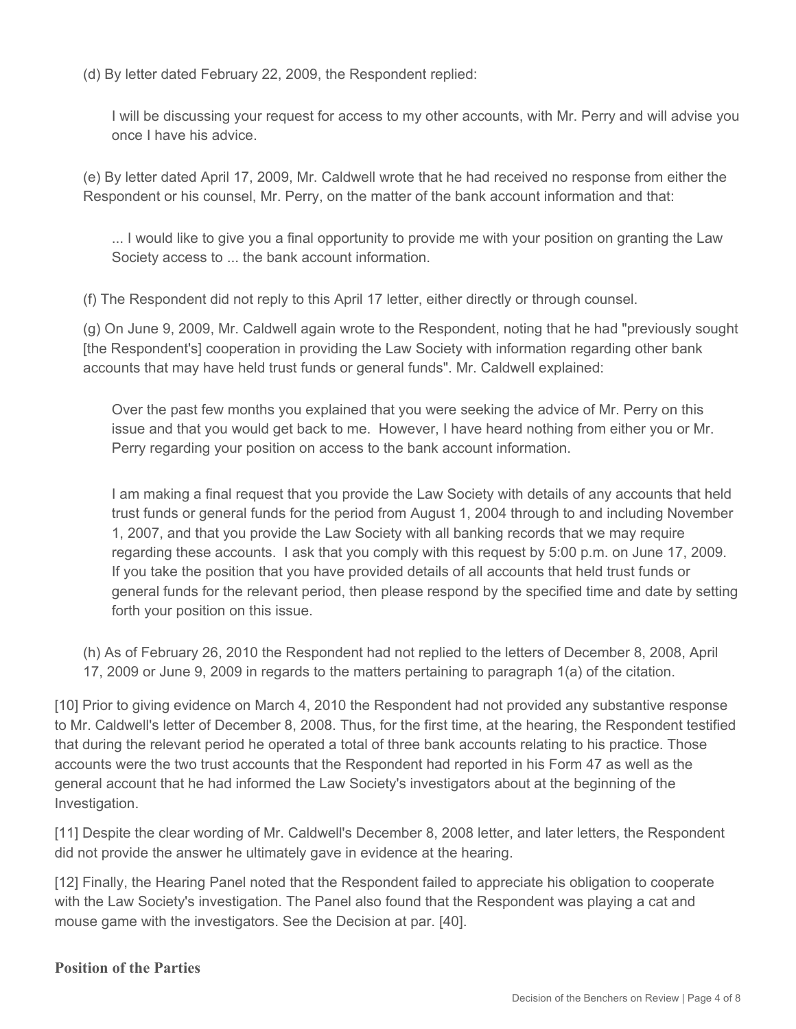(d) By letter dated February 22, 2009, the Respondent replied:

I will be discussing your request for access to my other accounts, with Mr. Perry and will advise you once I have his advice.

(e) By letter dated April 17, 2009, Mr. Caldwell wrote that he had received no response from either the Respondent or his counsel, Mr. Perry, on the matter of the bank account information and that:

... I would like to give you a final opportunity to provide me with your position on granting the Law Society access to ... the bank account information.

(f) The Respondent did not reply to this April 17 letter, either directly or through counsel.

(g) On June 9, 2009, Mr. Caldwell again wrote to the Respondent, noting that he had "previously sought [the Respondent's] cooperation in providing the Law Society with information regarding other bank accounts that may have held trust funds or general funds". Mr. Caldwell explained:

Over the past few months you explained that you were seeking the advice of Mr. Perry on this issue and that you would get back to me. However, I have heard nothing from either you or Mr. Perry regarding your position on access to the bank account information.

I am making a final request that you provide the Law Society with details of any accounts that held trust funds or general funds for the period from August 1, 2004 through to and including November 1, 2007, and that you provide the Law Society with all banking records that we may require regarding these accounts. I ask that you comply with this request by 5:00 p.m. on June 17, 2009. If you take the position that you have provided details of all accounts that held trust funds or general funds for the relevant period, then please respond by the specified time and date by setting forth your position on this issue.

(h) As of February 26, 2010 the Respondent had not replied to the letters of December 8, 2008, April 17, 2009 or June 9, 2009 in regards to the matters pertaining to paragraph 1(a) of the citation.

[10] Prior to giving evidence on March 4, 2010 the Respondent had not provided any substantive response to Mr. Caldwell's letter of December 8, 2008. Thus, for the first time, at the hearing, the Respondent testified that during the relevant period he operated a total of three bank accounts relating to his practice. Those accounts were the two trust accounts that the Respondent had reported in his Form 47 as well as the general account that he had informed the Law Society's investigators about at the beginning of the Investigation.

[11] Despite the clear wording of Mr. Caldwell's December 8, 2008 letter, and later letters, the Respondent did not provide the answer he ultimately gave in evidence at the hearing.

[12] Finally, the Hearing Panel noted that the Respondent failed to appreciate his obligation to cooperate with the Law Society's investigation. The Panel also found that the Respondent was playing a cat and mouse game with the investigators. See the Decision at par. [40].

#### **Position of the Parties**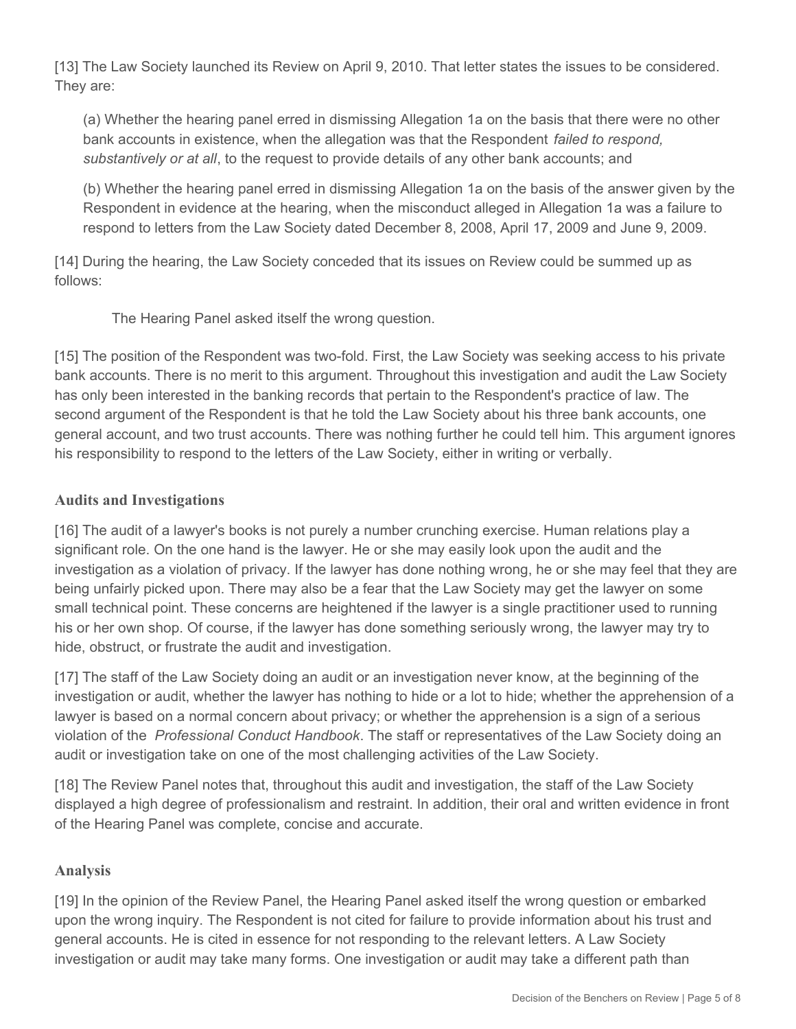[13] The Law Society launched its Review on April 9, 2010. That letter states the issues to be considered. They are:

(a) Whether the hearing panel erred in dismissing Allegation 1a on the basis that there were no other bank accounts in existence, when the allegation was that the Respondent *failed to respond, substantively or at all*, to the request to provide details of any other bank accounts; and

(b) Whether the hearing panel erred in dismissing Allegation 1a on the basis of the answer given by the Respondent in evidence at the hearing, when the misconduct alleged in Allegation 1a was a failure to respond to letters from the Law Society dated December 8, 2008, April 17, 2009 and June 9, 2009.

[14] During the hearing, the Law Society conceded that its issues on Review could be summed up as follows:

The Hearing Panel asked itself the wrong question.

[15] The position of the Respondent was two-fold. First, the Law Society was seeking access to his private bank accounts. There is no merit to this argument. Throughout this investigation and audit the Law Society has only been interested in the banking records that pertain to the Respondent's practice of law. The second argument of the Respondent is that he told the Law Society about his three bank accounts, one general account, and two trust accounts. There was nothing further he could tell him. This argument ignores his responsibility to respond to the letters of the Law Society, either in writing or verbally.

# **Audits and Investigations**

[16] The audit of a lawyer's books is not purely a number crunching exercise. Human relations play a significant role. On the one hand is the lawyer. He or she may easily look upon the audit and the investigation as a violation of privacy. If the lawyer has done nothing wrong, he or she may feel that they are being unfairly picked upon. There may also be a fear that the Law Society may get the lawyer on some small technical point. These concerns are heightened if the lawyer is a single practitioner used to running his or her own shop. Of course, if the lawyer has done something seriously wrong, the lawyer may try to hide, obstruct, or frustrate the audit and investigation.

[17] The staff of the Law Society doing an audit or an investigation never know, at the beginning of the investigation or audit, whether the lawyer has nothing to hide or a lot to hide; whether the apprehension of a lawyer is based on a normal concern about privacy; or whether the apprehension is a sign of a serious violation of the *Professional Conduct Handbook*. The staff or representatives of the Law Society doing an audit or investigation take on one of the most challenging activities of the Law Society.

[18] The Review Panel notes that, throughout this audit and investigation, the staff of the Law Society displayed a high degree of professionalism and restraint. In addition, their oral and written evidence in front of the Hearing Panel was complete, concise and accurate.

## **Analysis**

[19] In the opinion of the Review Panel, the Hearing Panel asked itself the wrong question or embarked upon the wrong inquiry. The Respondent is not cited for failure to provide information about his trust and general accounts. He is cited in essence for not responding to the relevant letters. A Law Society investigation or audit may take many forms. One investigation or audit may take a different path than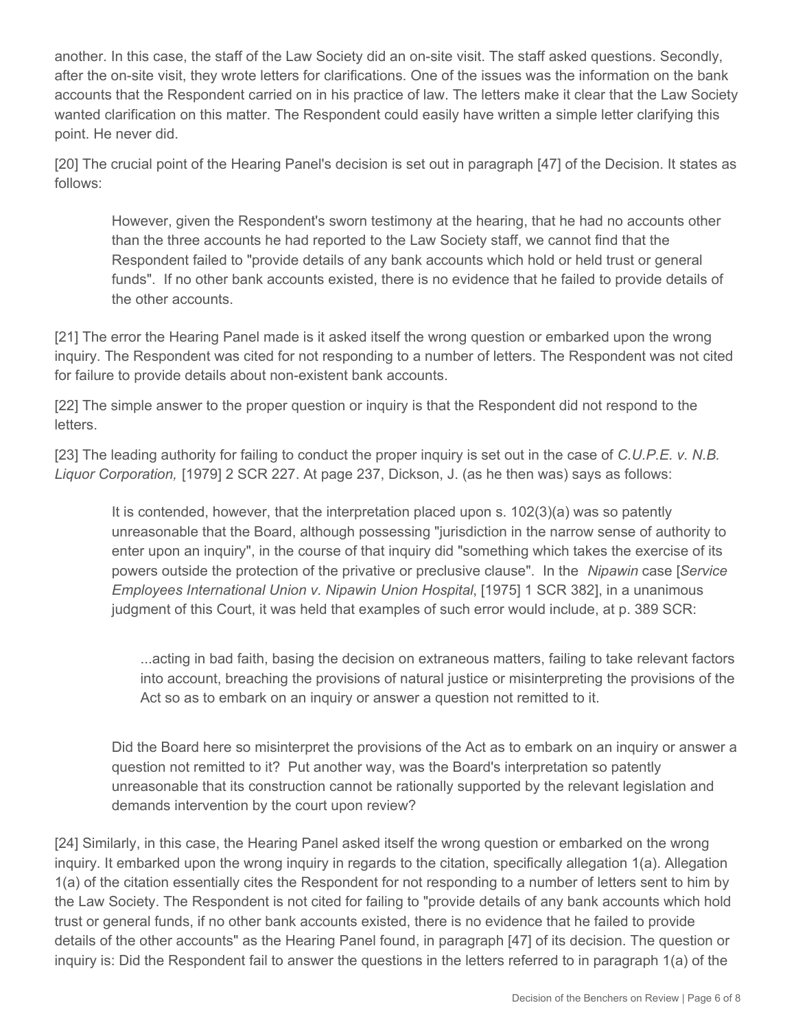another. In this case, the staff of the Law Society did an on-site visit. The staff asked questions. Secondly, after the on-site visit, they wrote letters for clarifications. One of the issues was the information on the bank accounts that the Respondent carried on in his practice of law. The letters make it clear that the Law Society wanted clarification on this matter. The Respondent could easily have written a simple letter clarifying this point. He never did.

[20] The crucial point of the Hearing Panel's decision is set out in paragraph [47] of the Decision. It states as follows:

However, given the Respondent's sworn testimony at the hearing, that he had no accounts other than the three accounts he had reported to the Law Society staff, we cannot find that the Respondent failed to "provide details of any bank accounts which hold or held trust or general funds". If no other bank accounts existed, there is no evidence that he failed to provide details of the other accounts.

[21] The error the Hearing Panel made is it asked itself the wrong question or embarked upon the wrong inquiry. The Respondent was cited for not responding to a number of letters. The Respondent was not cited for failure to provide details about non-existent bank accounts.

[22] The simple answer to the proper question or inquiry is that the Respondent did not respond to the letters.

[23] The leading authority for failing to conduct the proper inquiry is set out in the case of *C.U.P.E. v. N.B. Liquor Corporation,* [1979] 2 SCR 227. At page 237, Dickson, J. (as he then was) says as follows:

It is contended, however, that the interpretation placed upon s. 102(3)(a) was so patently unreasonable that the Board, although possessing "jurisdiction in the narrow sense of authority to enter upon an inquiry", in the course of that inquiry did "something which takes the exercise of its powers outside the protection of the privative or preclusive clause". In the *Nipawin* case [*Service Employees International Union v. Nipawin Union Hospital*, [1975] 1 SCR 382], in a unanimous judgment of this Court, it was held that examples of such error would include, at p. 389 SCR:

...acting in bad faith, basing the decision on extraneous matters, failing to take relevant factors into account, breaching the provisions of natural justice or misinterpreting the provisions of the Act so as to embark on an inquiry or answer a question not remitted to it.

Did the Board here so misinterpret the provisions of the Act as to embark on an inquiry or answer a question not remitted to it? Put another way, was the Board's interpretation so patently unreasonable that its construction cannot be rationally supported by the relevant legislation and demands intervention by the court upon review?

[24] Similarly, in this case, the Hearing Panel asked itself the wrong question or embarked on the wrong inquiry. It embarked upon the wrong inquiry in regards to the citation, specifically allegation 1(a). Allegation 1(a) of the citation essentially cites the Respondent for not responding to a number of letters sent to him by the Law Society. The Respondent is not cited for failing to "provide details of any bank accounts which hold trust or general funds, if no other bank accounts existed, there is no evidence that he failed to provide details of the other accounts" as the Hearing Panel found, in paragraph [47] of its decision. The question or inquiry is: Did the Respondent fail to answer the questions in the letters referred to in paragraph 1(a) of the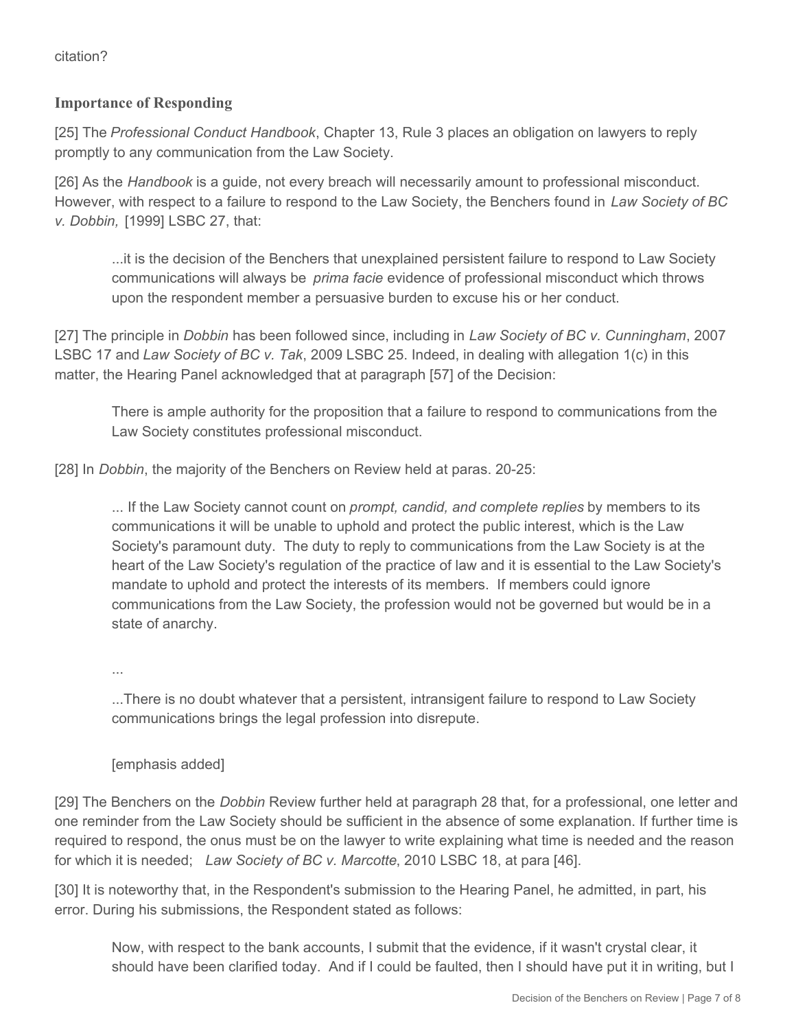## **Importance of Responding**

[25] The *Professional Conduct Handbook*, Chapter 13, Rule 3 places an obligation on lawyers to reply promptly to any communication from the Law Society.

[26] As the *Handbook* is a guide, not every breach will necessarily amount to professional misconduct. However, with respect to a failure to respond to the Law Society, the Benchers found in *Law Society of BC v. Dobbin,* [1999] LSBC 27, that:

...it is the decision of the Benchers that unexplained persistent failure to respond to Law Society communications will always be *prima facie* evidence of professional misconduct which throws upon the respondent member a persuasive burden to excuse his or her conduct.

[27] The principle in *Dobbin* has been followed since, including in *Law Society of BC v. Cunningham*, 2007 LSBC 17 and *Law Society of BC v. Tak*, 2009 LSBC 25. Indeed, in dealing with allegation 1(c) in this matter, the Hearing Panel acknowledged that at paragraph [57] of the Decision:

There is ample authority for the proposition that a failure to respond to communications from the Law Society constitutes professional misconduct.

[28] In *Dobbin*, the majority of the Benchers on Review held at paras. 20-25:

... If the Law Society cannot count on *prompt, candid, and complete replies* by members to its communications it will be unable to uphold and protect the public interest, which is the Law Society's paramount duty. The duty to reply to communications from the Law Society is at the heart of the Law Society's regulation of the practice of law and it is essential to the Law Society's mandate to uphold and protect the interests of its members. If members could ignore communications from the Law Society, the profession would not be governed but would be in a state of anarchy.

...

...There is no doubt whatever that a persistent, intransigent failure to respond to Law Society communications brings the legal profession into disrepute.

## [emphasis added]

[29] The Benchers on the *Dobbin* Review further held at paragraph 28 that, for a professional, one letter and one reminder from the Law Society should be sufficient in the absence of some explanation. If further time is required to respond, the onus must be on the lawyer to write explaining what time is needed and the reason for which it is needed; *Law Society of BC v. Marcotte*, 2010 LSBC 18, at para [46].

[30] It is noteworthy that, in the Respondent's submission to the Hearing Panel, he admitted, in part, his error. During his submissions, the Respondent stated as follows:

Now, with respect to the bank accounts, I submit that the evidence, if it wasn't crystal clear, it should have been clarified today. And if I could be faulted, then I should have put it in writing, but I